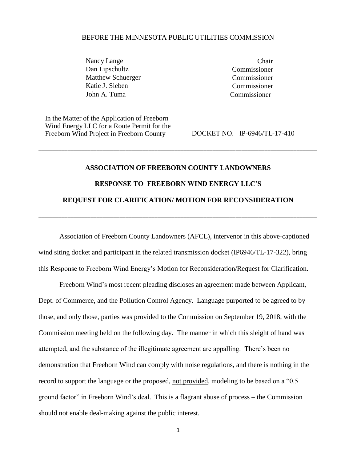#### BEFORE THE MINNESOTA PUBLIC UTILITIES COMMISSION

Nancy Lange Chair Dan Lipschultz Commissioner Matthew Schuerger Commissioner Katie J. Sieben Commissioner John A. Tuma Commissioner

In the Matter of the Application of Freeborn Wind Energy LLC for a Route Permit for the Freeborn Wind Project in Freeborn County DOCKET NO. IP-6946/TL-17-410

# **ASSOCIATION OF FREEBORN COUNTY LANDOWNERS RESPONSE TO FREEBORN WIND ENERGY LLC'S REQUEST FOR CLARIFICATION/ MOTION FOR RECONSIDERATION**

\_\_\_\_\_\_\_\_\_\_\_\_\_\_\_\_\_\_\_\_\_\_\_\_\_\_\_\_\_\_\_\_\_\_\_\_\_\_\_\_\_\_\_\_\_\_\_\_\_\_\_\_\_\_\_\_\_\_\_\_\_\_\_\_\_\_\_\_\_\_\_\_\_\_\_\_\_\_\_\_\_\_\_\_\_\_\_\_\_\_\_\_\_\_\_\_

\_\_\_\_\_\_\_\_\_\_\_\_\_\_\_\_\_\_\_\_\_\_\_\_\_\_\_\_\_\_\_\_\_\_\_\_\_\_\_\_\_\_\_\_\_\_\_\_\_\_\_\_\_\_\_\_\_\_\_\_\_\_\_\_\_\_\_\_\_\_\_\_\_\_\_\_\_\_\_\_\_\_\_\_\_\_\_\_\_\_\_\_\_\_\_\_

Association of Freeborn County Landowners (AFCL), intervenor in this above-captioned wind siting docket and participant in the related transmission docket (IP6946/TL-17-322), bring this Response to Freeborn Wind Energy's Motion for Reconsideration/Request for Clarification.

Freeborn Wind's most recent pleading discloses an agreement made between Applicant, Dept. of Commerce, and the Pollution Control Agency. Language purported to be agreed to by those, and only those, parties was provided to the Commission on September 19, 2018, with the Commission meeting held on the following day. The manner in which this sleight of hand was attempted, and the substance of the illegitimate agreement are appalling. There's been no demonstration that Freeborn Wind can comply with noise regulations, and there is nothing in the record to support the language or the proposed, not provided, modeling to be based on a "0.5 ground factor" in Freeborn Wind's deal. This is a flagrant abuse of process – the Commission should not enable deal-making against the public interest.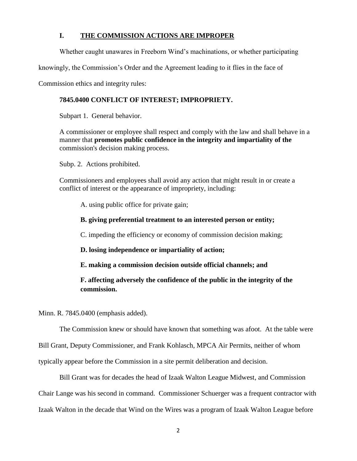# **I. THE COMMISSION ACTIONS ARE IMPROPER**

Whether caught unawares in Freeborn Wind's machinations, or whether participating

knowingly, the Commission's Order and the Agreement leading to it flies in the face of

Commission ethics and integrity rules:

# **7845.0400 CONFLICT OF INTEREST; IMPROPRIETY.**

Subpart 1. General behavior.

A commissioner or employee shall respect and comply with the law and shall behave in a manner that **promotes public confidence in the integrity and impartiality of the**  commission's decision making process.

Subp. 2. Actions prohibited.

Commissioners and employees shall avoid any action that might result in or create a conflict of interest or the appearance of impropriety, including:

A. using public office for private gain;

**B. giving preferential treatment to an interested person or entity;**

C. impeding the efficiency or economy of commission decision making;

**D. losing independence or impartiality of action;**

**E. making a commission decision outside official channels; and**

# **F. affecting adversely the confidence of the public in the integrity of the commission.**

Minn. R. 7845.0400 (emphasis added).

The Commission knew or should have known that something was afoot. At the table were

Bill Grant, Deputy Commissioner, and Frank Kohlasch, MPCA Air Permits, neither of whom

typically appear before the Commission in a site permit deliberation and decision.

Bill Grant was for decades the head of Izaak Walton League Midwest, and Commission Chair Lange was his second in command. Commissioner Schuerger was a frequent contractor with Izaak Walton in the decade that Wind on the Wires was a program of Izaak Walton League before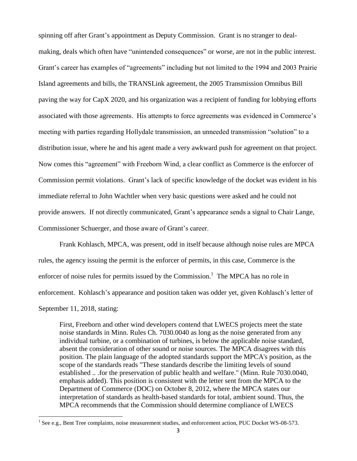spinning off after Grant's appointment as Deputy Commission. Grant is no stranger to dealmaking, deals which often have "unintended consequences" or worse, are not in the public interest. Grant's career has examples of "agreements" including but not limited to the 1994 and 2003 Prairie Island agreements and bills, the TRANSLink agreement, the 2005 Transmission Omnibus Bill paving the way for CapX 2020, and his organization was a recipient of funding for lobbying efforts associated with those agreements. His attempts to force agreements was evidenced in Commerce's meeting with parties regarding Hollydale transmission, an unneeded transmission "solution" to a distribution issue, where he and his agent made a very awkward push for agreement on that project. Now comes this "agreement" with Freeborn Wind, a clear conflict as Commerce is the enforcer of Commission permit violations. Grant's lack of specific knowledge of the docket was evident in his immediate referral to John Wachtler when very basic questions were asked and he could not provide answers. If not directly communicated, Grant's appearance sends a signal to Chair Lange, Commissioner Schuerger, and those aware of Grant's career.

Frank Kohlasch, MPCA, was present, odd in itself because although noise rules are MPCA rules, the agency issuing the permit is the enforcer of permits, in this case, Commerce is the enforcer of noise rules for permits issued by the Commission.<sup>1</sup> The MPCA has no role in enforcement. Kohlasch's appearance and position taken was odder yet, given Kohlasch's letter of September 11, 2018, stating:

First, Freeborn and other wind developers contend that LWECS projects meet the state noise standards in Minn. Rules Ch. 7030.0040 as long as the noise generated from any individual turbine, or a combination of turbines, is below the applicable noise standard, absent the consideration of other sound or noise sources. The MPCA disagrees with this position. The plain language of the adopted standards support the MPCA's position, as the scope of the standards reads "These standards describe the limiting levels of sound established .. .for the preservation of public health and welfare." (Minn. Rule 7030.0040, emphasis added). This position is consistent with the letter sent from the MPCA to the Department of Commerce (DOC) on October 8, 2012, where the MPCA states our interpretation of standards as health-based standards for total, ambient sound. Thus, the MPCA recommends that the Commission should determine compliance of LWECS

 $\overline{a}$ 

 $<sup>1</sup>$  See e.g., Bent Tree complaints, noise measurement studies, and enforcement action, PUC Docket WS-08-573.</sup>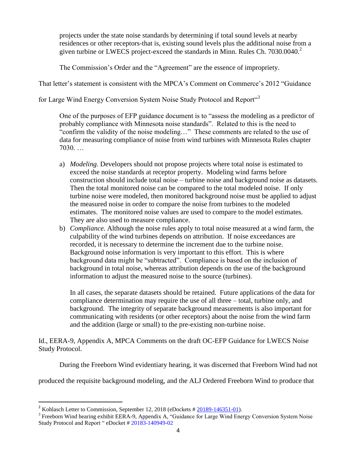projects under the state noise standards by determining if total sound levels at nearby residences or other receptors-that is, existing sound levels plus the additional noise from a given turbine or LWECS project-exceed the standards in Minn. Rules Ch.  $7030.0040$ <sup>2</sup>

The Commission's Order and the "Agreement" are the essence of impropriety.

That letter's statement is consistent with the MPCA's Comment on Commerce's 2012 "Guidance

for Large Wind Energy Conversion System Noise Study Protocol and Report<sup>43</sup>

One of the purposes of EFP guidance document is to "assess the modeling as a predictor of probably compliance with Minnesota noise standards". Related to this is the need to "confirm the validity of the noise modeling…" These comments are related to the use of data for measuring compliance of noise from wind turbines with Minnesota Rules chapter 7030. …

- a) *Modeling.* Developers should not propose projects where total noise is estimated to exceed the noise standards at receptor property. Modeling wind farms before construction should include total noise – turbine noise and background noise as datasets. Then the total monitored noise can be compared to the total modeled noise. If only turbine noise were modeled, then monitored background noise must be applied to adjust the measured noise in order to compare the noise from turbines to the modeled estimates. The monitored noise values are used to compare to the model estimates. They are also used to measure compliance.
- b) *Compliance.* Although the noise rules apply to total noise measured at a wind farm, the culpability of the wind turbines depends on attribution. If noise exceedances are recorded, it is necessary to determine the increment due to the turbine noise. Background noise information is very important to this effort. This is where background data might be "subtracted". Compliance is based on the inclusion of background in total noise, whereas attribution depends on the use of the background information to adjust the measured noise to the source (turbines).

In all cases, the separate datasets should be retained. Future applications of the data for compliance determination may require the use of all three – total, turbine only, and background. The integrity of separate background measurements is also important for communicating with residents (or other receptors) about the noise from the wind farm and the addition (large or small) to the pre-existing non-turbine noise.

Id., EERA-9, Appendix A, MPCA Comments on the draft OC-EFP Guidance for LWECS Noise Study Protocol.

During the Freeborn Wind evidentiary hearing, it was discerned that Freeborn Wind had not

produced the requisite background modeling, and the ALJ Ordered Freeborn Wind to produce that

 $\overline{\phantom{a}}$ 

<sup>&</sup>lt;sup>2</sup> Kohlasch Letter to Commission, September 12, 2018 (eDockets  $\# 20189 - 146351 - 01$ ).

<sup>&</sup>lt;sup>3</sup> Freeborn Wind hearing exhibit EERA-9, Appendix A, "Guidance for Large Wind Energy Conversion System Noise Study Protocol and Report " eDocket # 20183-140949-02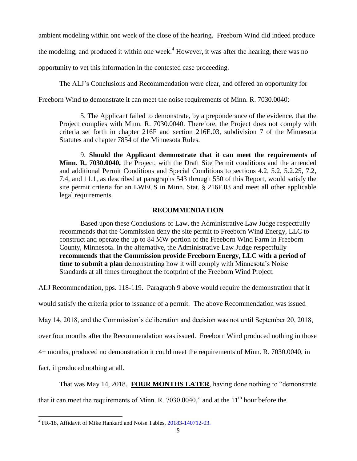ambient modeling within one week of the close of the hearing. Freeborn Wind did indeed produce

the modeling, and produced it within one week.<sup>4</sup> However, it was after the hearing, there was no

opportunity to vet this information in the contested case proceeding.

The ALJ's Conclusions and Recommendation were clear, and offered an opportunity for

Freeborn Wind to demonstrate it can meet the noise requirements of Minn. R. 7030.0040:

5. The Applicant failed to demonstrate, by a preponderance of the evidence, that the Project complies with Minn. R. 7030.0040. Therefore, the Project does not comply with criteria set forth in chapter 216F and section 216E.03, subdivision 7 of the Minnesota Statutes and chapter 7854 of the Minnesota Rules.

9. **Should the Applicant demonstrate that it can meet the requirements of Minn. R. 7030.0040,** the Project, with the Draft Site Permit conditions and the amended and additional Permit Conditions and Special Conditions to sections 4.2, 5.2, 5.2.25, 7.2, 7.4, and 11.1, as described at paragraphs 543 through 550 of this Report, would satisfy the site permit criteria for an LWECS in Minn. Stat. § 216F.03 and meet all other applicable legal requirements.

# **RECOMMENDATION**

Based upon these Conclusions of Law, the Administrative Law Judge respectfully recommends that the Commission deny the site permit to Freeborn Wind Energy, LLC to construct and operate the up to 84 MW portion of the Freeborn Wind Farm in Freeborn County, Minnesota. In the alternative, the Administrative Law Judge respectfully **recommends that the Commission provide Freeborn Energy, LLC with a period of time to submit a plan** demonstrating how it will comply with Minnesota's Noise Standards at all times throughout the footprint of the Freeborn Wind Project.

ALJ Recommendation, pps. 118-119. Paragraph 9 above would require the demonstration that it

would satisfy the criteria prior to issuance of a permit. The above Recommendation was issued

May 14, 2018, and the Commission's deliberation and decision was not until September 20, 2018,

over four months after the Recommendation was issued. Freeborn Wind produced nothing in those

4+ months, produced no demonstration it could meet the requirements of Minn. R. 7030.0040, in

fact, it produced nothing at all.

 $\overline{a}$ 

That was May 14, 2018. **FOUR MONTHS LATER**, having done nothing to "demonstrate that it can meet the requirements of Minn. R. 7030.0040," and at the  $11<sup>th</sup>$  hour before the

<sup>&</sup>lt;sup>4</sup> FR-18, Affidavit of Mike Hankard and Noise Tables, 20183-140712-03.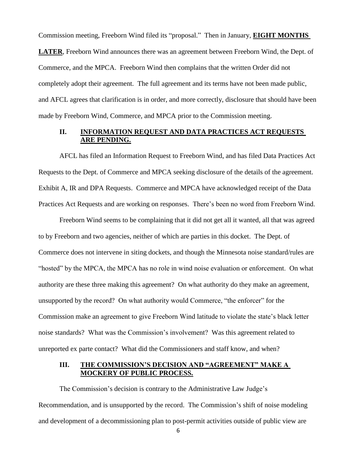Commission meeting, Freeborn Wind filed its "proposal." Then in January, **EIGHT MONTHS** 

**LATER**, Freeborn Wind announces there was an agreement between Freeborn Wind, the Dept. of Commerce, and the MPCA. Freeborn Wind then complains that the written Order did not completely adopt their agreement. The full agreement and its terms have not been made public, and AFCL agrees that clarification is in order, and more correctly, disclosure that should have been made by Freeborn Wind, Commerce, and MPCA prior to the Commission meeting.

## **II. INFORMATION REQUEST AND DATA PRACTICES ACT REQUESTS ARE PENDING.**

AFCL has filed an Information Request to Freeborn Wind, and has filed Data Practices Act Requests to the Dept. of Commerce and MPCA seeking disclosure of the details of the agreement. Exhibit A, IR and DPA Requests. Commerce and MPCA have acknowledged receipt of the Data Practices Act Requests and are working on responses. There's been no word from Freeborn Wind.

Freeborn Wind seems to be complaining that it did not get all it wanted, all that was agreed to by Freeborn and two agencies, neither of which are parties in this docket. The Dept. of Commerce does not intervene in siting dockets, and though the Minnesota noise standard/rules are "hosted" by the MPCA, the MPCA has no role in wind noise evaluation or enforcement. On what authority are these three making this agreement? On what authority do they make an agreement, unsupported by the record? On what authority would Commerce, "the enforcer" for the Commission make an agreement to give Freeborn Wind latitude to violate the state's black letter noise standards? What was the Commission's involvement? Was this agreement related to unreported ex parte contact? What did the Commissioners and staff know, and when?

# **III. THE COMMISSION'S DECISION AND "AGREEMENT" MAKE A MOCKERY OF PUBLIC PROCESS.**

The Commission's decision is contrary to the Administrative Law Judge's Recommendation, and is unsupported by the record. The Commission's shift of noise modeling and development of a decommissioning plan to post-permit activities outside of public view are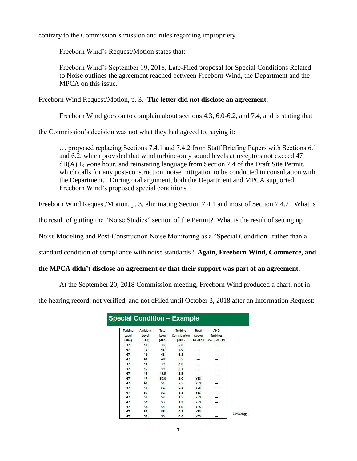contrary to the Commission's mission and rules regarding impropriety.

Freeborn Wind's Request/Motion states that:

Freeborn Wind's September 19, 2018, Late-Filed proposal for Special Conditions Related to Noise outlines the agreement reached between Freeborn Wind, the Department and the MPCA on this issue.

Freeborn Wind Request/Motion, p. 3. **The letter did not disclose an agreement.**

Freeborn Wind goes on to complain about sections 4.3, 6.0-6.2, and 7.4, and is stating that

the Commission's decision was not what they had agreed to, saying it:

… proposed replacing Sections 7.4.1 and 7.4.2 from Staff Briefing Papers with Sections 6.1 and 6.2, which provided that wind turbine-only sound levels at receptors not exceed 47  $dB(A)$  L<sub>50</sub>-one hour, and reinstating language from Section 7.4 of the Draft Site Permit, which calls for any post-construction noise mitigation to be conducted in consultation with the Department. During oral argument, both the Department and MPCA supported Freeborn Wind's proposed special conditions.

Freeborn Wind Request/Motion, p. 3, eliminating Section 7.4.1 and most of Section 7.4.2. What is

the result of gutting the "Noise Studies" section of the Permit? What is the result of setting up

Noise Modeling and Post-Construction Noise Monitoring as a "Special Condition" rather than a

standard condition of compliance with noise standards? **Again, Freeborn Wind, Commerce, and**

#### **the MPCA didn't disclose an agreement or that their support was part of an agreement.**

At the September 20, 2018 Commission meeting, Freeborn Wind produced a chart, not in

the hearing record, not verified, and not eFiled until October 3, 2018 after an Information Request:

| <b>Turbine</b><br>Level<br>(dBA) | Ambient<br>Level<br>(dBA) | Total<br>Level<br>(dBA) | <b>Turbine</b><br>Contribution<br>(dBA) | Total<br>Above<br>50 dBA? | AND<br><b>Turbines</b><br>Cont >3 dB? |           |
|----------------------------------|---------------------------|-------------------------|-----------------------------------------|---------------------------|---------------------------------------|-----------|
| 47                               | 40                        | 48                      | 7.8                                     | ---                       | ---                                   |           |
| 47                               | 41                        | 48                      | 7.0                                     |                           | ₩.                                    |           |
| 47                               | 42                        | 48                      | 6.2                                     |                           | --                                    |           |
| 47                               | 43                        | 48                      | 5.5                                     | $\overline{\phantom{a}}$  | $\overline{\phantom{a}}$              |           |
| 47                               | 44                        | 49                      | 4.8                                     | ÷                         | $\overline{\phantom{a}}$              |           |
| 47                               | 45                        | 49                      | 4.1                                     |                           | ī                                     |           |
| 47                               | 46                        | 49.5                    | 3.5                                     |                           | ST.                                   |           |
| 47                               | 47                        | 50.0                    | 3.0                                     | YES                       |                                       |           |
| 47                               | 48                        | 51                      | 2.5                                     | <b>YES</b>                | I                                     |           |
| 47                               | 49                        | 51                      | 2.1                                     | YES                       | 2                                     |           |
| 47                               | 50                        | 52                      | 1.8                                     | <b>YES</b>                | $\mathbb{Z}^n$                        |           |
| 47                               | 51                        | 52                      | 1.5                                     | <b>YES</b>                | $\overline{\phantom{a}}$              |           |
| 47                               | 52                        | 53                      | 1.2                                     | <b>YES</b>                | Service C                             |           |
| 47                               | 53                        | 54                      | 1.0                                     | <b>YES</b>                | $\overline{\phantom{0}}$              |           |
| 47                               | 54                        | 55                      | 0.8                                     | YES                       | --                                    | Invenergy |
| 47                               | 55                        | 56                      | 0.6                                     | <b>YES</b>                | ---                                   |           |

#### 7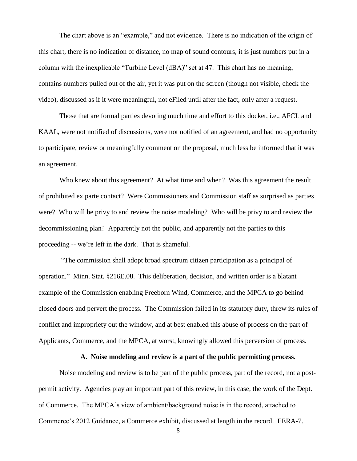The chart above is an "example," and not evidence. There is no indication of the origin of this chart, there is no indication of distance, no map of sound contours, it is just numbers put in a column with the inexplicable "Turbine Level (dBA)" set at 47. This chart has no meaning, contains numbers pulled out of the air, yet it was put on the screen (though not visible, check the video), discussed as if it were meaningful, not eFiled until after the fact, only after a request.

Those that are formal parties devoting much time and effort to this docket, i.e., AFCL and KAAL, were not notified of discussions, were not notified of an agreement, and had no opportunity to participate, review or meaningfully comment on the proposal, much less be informed that it was an agreement.

Who knew about this agreement? At what time and when? Was this agreement the result of prohibited ex parte contact? Were Commissioners and Commission staff as surprised as parties were? Who will be privy to and review the noise modeling? Who will be privy to and review the decommissioning plan? Apparently not the public, and apparently not the parties to this proceeding -- we're left in the dark. That is shameful.

"The commission shall adopt broad spectrum citizen participation as a principal of operation." Minn. Stat. §216E.08. This deliberation, decision, and written order is a blatant example of the Commission enabling Freeborn Wind, Commerce, and the MPCA to go behind closed doors and pervert the process. The Commission failed in its statutory duty, threw its rules of conflict and impropriety out the window, and at best enabled this abuse of process on the part of Applicants, Commerce, and the MPCA, at worst, knowingly allowed this perversion of process.

# **A. Noise modeling and review is a part of the public permitting process.**

Noise modeling and review is to be part of the public process, part of the record, not a postpermit activity. Agencies play an important part of this review, in this case, the work of the Dept. of Commerce. The MPCA's view of ambient/background noise is in the record, attached to Commerce's 2012 Guidance, a Commerce exhibit, discussed at length in the record. EERA-7.

8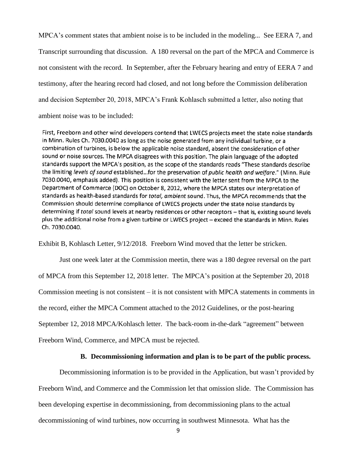MPCA's comment states that ambient noise is to be included in the modeling... See EERA 7, and Transcript surrounding that discussion. A 180 reversal on the part of the MPCA and Commerce is not consistent with the record. In September, after the February hearing and entry of EERA 7 and testimony, after the hearing record had closed, and not long before the Commission deliberation and decision September 20, 2018, MPCA's Frank Kohlasch submitted a letter, also noting that ambient noise was to be included:

First, Freeborn and other wind developers contend that LWECS projects meet the state noise standards in Minn. Rules Ch. 7030.0040 as long as the noise generated from any individual turbine, or a combination of turbines, is below the applicable noise standard, absent the consideration of other sound or noise sources. The MPCA disagrees with this position. The plain language of the adopted standards support the MPCA's position, as the scope of the standards reads "These standards describe the limiting levels of sound established...for the preservation of public health and welfare." (Minn. Rule 7030.0040, emphasis added). This position is consistent with the letter sent from the MPCA to the Department of Commerce (DOC) on October 8, 2012, where the MPCA states our interpretation of standards as health-based standards for total, ambient sound. Thus, the MPCA recommends that the Commission should determine compliance of LWECS projects under the state noise standards by determining if total sound levels at nearby residences or other receptors - that is, existing sound levels plus the additional noise from a given turbine or LWECS project -- exceed the standards in Minn. Rules Ch. 7030.0040.

Exhibit B, Kohlasch Letter, 9/12/2018. Freeborn Wind moved that the letter be stricken.

Just one week later at the Commission meetin, there was a 180 degree reversal on the part of MPCA from this September 12, 2018 letter. The MPCA's position at the September 20, 2018 Commission meeting is not consistent  $-$  it is not consistent with MPCA statements in comments in the record, either the MPCA Comment attached to the 2012 Guidelines, or the post-hearing September 12, 2018 MPCA/Kohlasch letter. The back-room in-the-dark "agreement" between Freeborn Wind, Commerce, and MPCA must be rejected.

## **B. Decommissioning information and plan is to be part of the public process.**

Decommissioning information is to be provided in the Application, but wasn't provided by Freeborn Wind, and Commerce and the Commission let that omission slide. The Commission has been developing expertise in decommissioning, from decommissioning plans to the actual decommissioning of wind turbines, now occurring in southwest Minnesota. What has the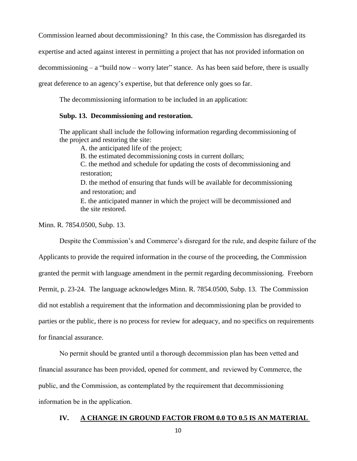Commission learned about decommissioning? In this case, the Commission has disregarded its

expertise and acted against interest in permitting a project that has not provided information on

decommissioning – a "build now – worry later" stance. As has been said before, there is usually

great deference to an agency's expertise, but that deference only goes so far.

The decommissioning information to be included in an application:

#### **Subp. 13. Decommissioning and restoration.**

The applicant shall include the following information regarding decommissioning of the project and restoring the site:

A. the anticipated life of the project;

B. the estimated decommissioning costs in current dollars;

C. the method and schedule for updating the costs of decommissioning and restoration;

D. the method of ensuring that funds will be available for decommissioning and restoration; and

E. the anticipated manner in which the project will be decommissioned and the site restored.

Minn. R. 7854.0500, Subp. 13.

Despite the Commission's and Commerce's disregard for the rule, and despite failure of the

Applicants to provide the required information in the course of the proceeding, the Commission granted the permit with language amendment in the permit regarding decommissioning. Freeborn Permit, p. 23-24. The language acknowledges Minn. R. 7854.0500, Subp. 13. The Commission did not establish a requirement that the information and decommissioning plan be provided to parties or the public, there is no process for review for adequacy, and no specifics on requirements

for financial assurance.

No permit should be granted until a thorough decommission plan has been vetted and financial assurance has been provided, opened for comment, and reviewed by Commerce, the public, and the Commission, as contemplated by the requirement that decommissioning information be in the application.

# **IV. A CHANGE IN GROUND FACTOR FROM 0.0 TO 0.5 IS AN MATERIAL**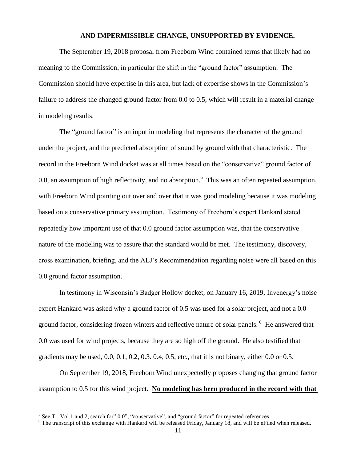#### **AND IMPERMISSIBLE CHANGE, UNSUPPORTED BY EVIDENCE.**

The September 19, 2018 proposal from Freeborn Wind contained terms that likely had no meaning to the Commission, in particular the shift in the "ground factor" assumption. The Commission should have expertise in this area, but lack of expertise shows in the Commission's failure to address the changed ground factor from 0.0 to 0.5, which will result in a material change in modeling results.

The "ground factor" is an input in modeling that represents the character of the ground under the project, and the predicted absorption of sound by ground with that characteristic. The record in the Freeborn Wind docket was at all times based on the "conservative" ground factor of 0.0, an assumption of high reflectivity, and no absorption.<sup>5</sup> This was an often repeated assumption, with Freeborn Wind pointing out over and over that it was good modeling because it was modeling based on a conservative primary assumption. Testimony of Freeborn's expert Hankard stated repeatedly how important use of that 0.0 ground factor assumption was, that the conservative nature of the modeling was to assure that the standard would be met. The testimony, discovery, cross examination, briefing, and the ALJ's Recommendation regarding noise were all based on this 0.0 ground factor assumption.

In testimony in Wisconsin's Badger Hollow docket, on January 16, 2019, Invenergy's noise expert Hankard was asked why a ground factor of 0.5 was used for a solar project, and not a 0.0 ground factor, considering frozen winters and reflective nature of solar panels. <sup>6</sup> He answered that 0.0 was used for wind projects, because they are so high off the ground. He also testified that gradients may be used, 0.0, 0.1, 0.2, 0.3. 0.4, 0.5, etc., that it is not binary, either 0.0 or 0.5.

On September 19, 2018, Freeborn Wind unexpectedly proposes changing that ground factor assumption to 0.5 for this wind project. **No modeling has been produced in the record with that** 

 $\overline{\phantom{a}}$ 

 $<sup>5</sup>$  See Tr. Vol 1 and 2, search for" 0.0", "conservative", and "ground factor" for repeated references.</sup>

<sup>&</sup>lt;sup>6</sup> The transcript of this exchange with Hankard will be released Friday, January 18, and will be eFiled when released.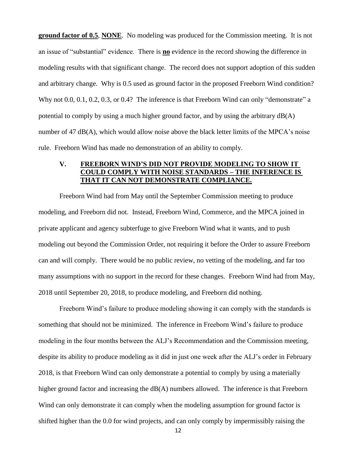**ground factor of 0.5**, **NONE**. No modeling was produced for the Commission meeting. It is not an issue of "substantial" evidence. There is **no** evidence in the record showing the difference in modeling results with that significant change. The record does not support adoption of this sudden and arbitrary change. Why is 0.5 used as ground factor in the proposed Freeborn Wind condition? Why not 0.0, 0.1, 0.2, 0.3, or 0.4? The inference is that Freeborn Wind can only "demonstrate" a potential to comply by using a much higher ground factor, and by using the arbitrary dB(A) number of 47 dB(A), which would allow noise above the black letter limits of the MPCA's noise rule. Freeborn Wind has made no demonstration of an ability to comply.

# **V. FREEBORN WIND'S DID NOT PROVIDE MODELING TO SHOW IT COULD COMPLY WITH NOISE STANDARDS – THE INFERENCE IS THAT IT CAN NOT DEMONSTRATE COMPLIANCE.**

Freeborn Wind had from May until the September Commission meeting to produce modeling, and Freeborn did not. Instead, Freeborn Wind, Commerce, and the MPCA joined in private applicant and agency subterfuge to give Freeborn Wind what it wants, and to push modeling out beyond the Commission Order, not requiring it before the Order to assure Freeborn can and will comply. There would be no public review, no vetting of the modeling, and far too many assumptions with no support in the record for these changes. Freeborn Wind had from May, 2018 until September 20, 2018, to produce modeling, and Freeborn did nothing.

Freeborn Wind's failure to produce modeling showing it can comply with the standards is something that should not be minimized. The inference in Freeborn Wind's failure to produce modeling in the four months between the ALJ's Recommendation and the Commission meeting, despite its ability to produce modeling as it did in just one week after the ALJ's order in February 2018, is that Freeborn Wind can only demonstrate a potential to comply by using a materially higher ground factor and increasing the  $dB(A)$  numbers allowed. The inference is that Freeborn Wind can only demonstrate it can comply when the modeling assumption for ground factor is shifted higher than the 0.0 for wind projects, and can only comply by impermissibly raising the

12